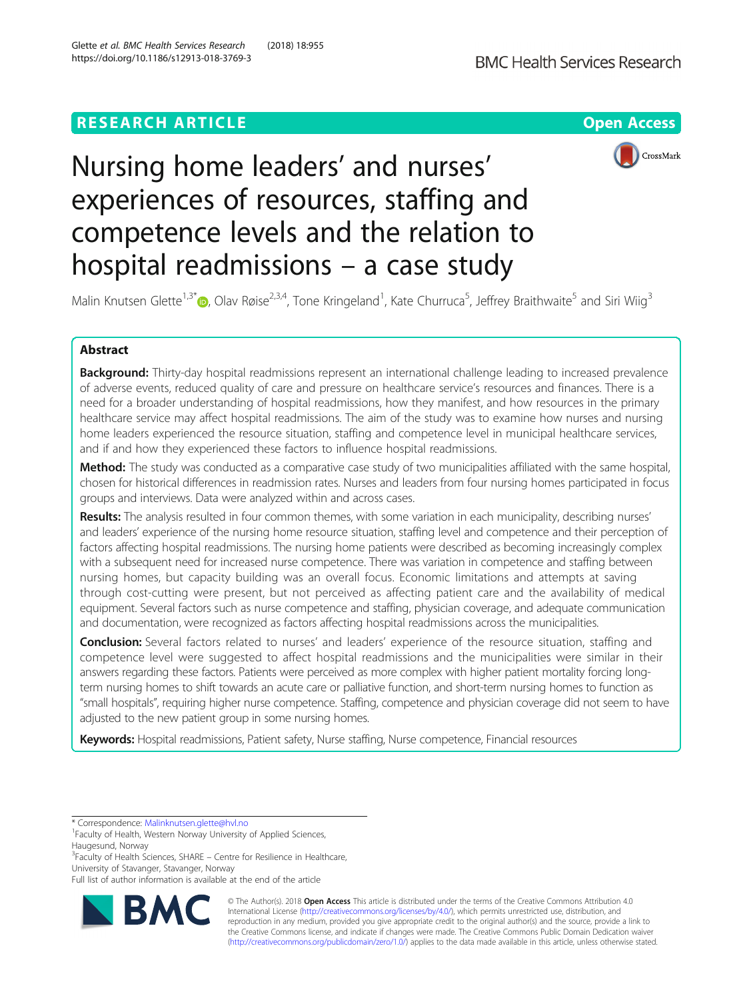# **RESEARCH ARTICLE Example 2014 12:30 The Contract of Contract ACCESS**



# Nursing home leaders' and nurses' experiences of resources, staffing and competence levels and the relation to hospital readmissions – a case study

Malin Knutsen Glette<sup>1[,](http://orcid.org/0000-0002-3822-0581)3\*</sup>®, Olav Røise<sup>2,3,4</sup>, Tone Kringeland<sup>1</sup>, Kate Churruca<sup>5</sup>, Jeffrey Braithwaite<sup>5</sup> and Siri Wiig<sup>3</sup>

# Abstract

Background: Thirty-day hospital readmissions represent an international challenge leading to increased prevalence of adverse events, reduced quality of care and pressure on healthcare service's resources and finances. There is a need for a broader understanding of hospital readmissions, how they manifest, and how resources in the primary healthcare service may affect hospital readmissions. The aim of the study was to examine how nurses and nursing home leaders experienced the resource situation, staffing and competence level in municipal healthcare services, and if and how they experienced these factors to influence hospital readmissions.

Method: The study was conducted as a comparative case study of two municipalities affiliated with the same hospital, chosen for historical differences in readmission rates. Nurses and leaders from four nursing homes participated in focus groups and interviews. Data were analyzed within and across cases.

Results: The analysis resulted in four common themes, with some variation in each municipality, describing nurses' and leaders' experience of the nursing home resource situation, staffing level and competence and their perception of factors affecting hospital readmissions. The nursing home patients were described as becoming increasingly complex with a subsequent need for increased nurse competence. There was variation in competence and staffing between nursing homes, but capacity building was an overall focus. Economic limitations and attempts at saving through cost-cutting were present, but not perceived as affecting patient care and the availability of medical equipment. Several factors such as nurse competence and staffing, physician coverage, and adequate communication and documentation, were recognized as factors affecting hospital readmissions across the municipalities.

**Conclusion:** Several factors related to nurses' and leaders' experience of the resource situation, staffing and competence level were suggested to affect hospital readmissions and the municipalities were similar in their answers regarding these factors. Patients were perceived as more complex with higher patient mortality forcing longterm nursing homes to shift towards an acute care or palliative function, and short-term nursing homes to function as "small hospitals", requiring higher nurse competence. Staffing, competence and physician coverage did not seem to have adjusted to the new patient group in some nursing homes.

Keywords: Hospital readmissions, Patient safety, Nurse staffing, Nurse competence, Financial resources

<sup>3</sup>Faculty of Health Sciences, SHARE - Centre for Resilience in Healthcare, University of Stavanger, Stavanger, Norway

Full list of author information is available at the end of the article



© The Author(s). 2018 Open Access This article is distributed under the terms of the Creative Commons Attribution 4.0 International License [\(http://creativecommons.org/licenses/by/4.0/](http://creativecommons.org/licenses/by/4.0/)), which permits unrestricted use, distribution, and reproduction in any medium, provided you give appropriate credit to the original author(s) and the source, provide a link to the Creative Commons license, and indicate if changes were made. The Creative Commons Public Domain Dedication waiver [\(http://creativecommons.org/publicdomain/zero/1.0/](http://creativecommons.org/publicdomain/zero/1.0/)) applies to the data made available in this article, unless otherwise stated.

<sup>\*</sup> Correspondence: [Malinknutsen.glette@hvl.no](mailto:Malinknutsen.glette@hvl.no) <sup>1</sup>

Faculty of Health, Western Norway University of Applied Sciences,

Haugesund, Norway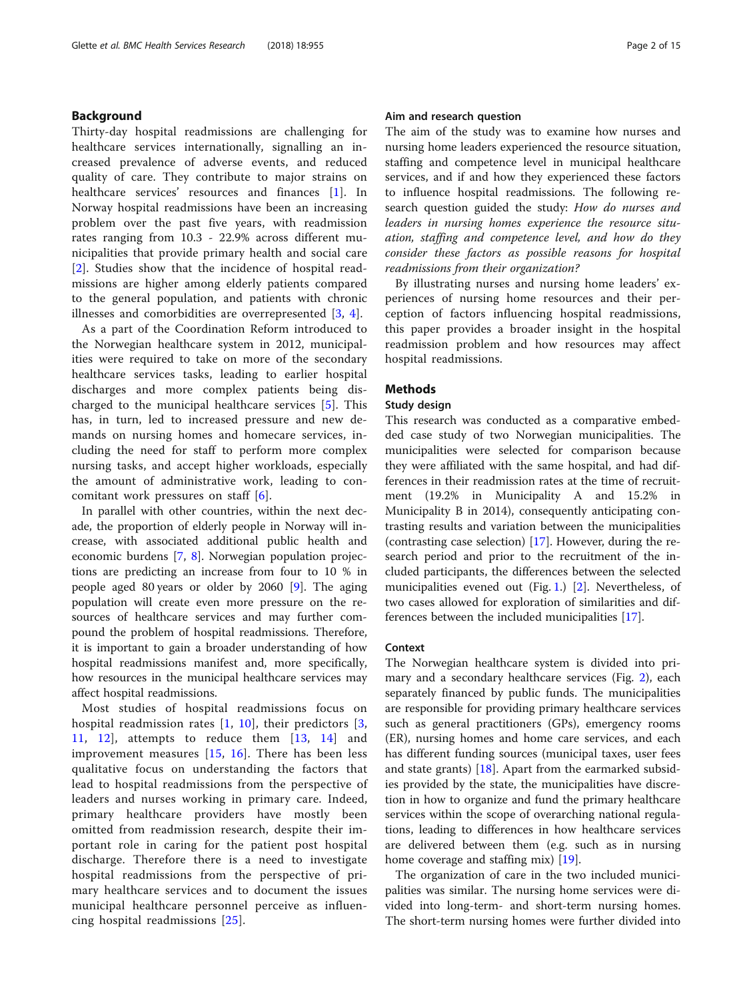# Background

Thirty-day hospital readmissions are challenging for healthcare services internationally, signalling an increased prevalence of adverse events, and reduced quality of care. They contribute to major strains on healthcare services' resources and finances [[1\]](#page-13-0). In Norway hospital readmissions have been an increasing problem over the past five years, with readmission rates ranging from 10.3 - 22.9% across different municipalities that provide primary health and social care [[2\]](#page-13-0). Studies show that the incidence of hospital readmissions are higher among elderly patients compared to the general population, and patients with chronic illnesses and comorbidities are overrepresented [\[3](#page-13-0), [4\]](#page-13-0).

As a part of the Coordination Reform introduced to the Norwegian healthcare system in 2012, municipalities were required to take on more of the secondary healthcare services tasks, leading to earlier hospital discharges and more complex patients being discharged to the municipal healthcare services [\[5](#page-13-0)]. This has, in turn, led to increased pressure and new demands on nursing homes and homecare services, including the need for staff to perform more complex nursing tasks, and accept higher workloads, especially the amount of administrative work, leading to concomitant work pressures on staff [[6\]](#page-13-0).

In parallel with other countries, within the next decade, the proportion of elderly people in Norway will increase, with associated additional public health and economic burdens [\[7](#page-14-0), [8](#page-14-0)]. Norwegian population projections are predicting an increase from four to 10 % in people aged 80 years or older by 2060 [\[9](#page-14-0)]. The aging population will create even more pressure on the resources of healthcare services and may further compound the problem of hospital readmissions. Therefore, it is important to gain a broader understanding of how hospital readmissions manifest and, more specifically, how resources in the municipal healthcare services may affect hospital readmissions.

Most studies of hospital readmissions focus on hospital readmission rates [\[1](#page-13-0), [10\]](#page-14-0), their predictors [\[3](#page-13-0), [11,](#page-14-0) [12](#page-14-0)], attempts to reduce them [[13](#page-14-0), [14\]](#page-14-0) and improvement measures [\[15,](#page-14-0) [16\]](#page-14-0). There has been less qualitative focus on understanding the factors that lead to hospital readmissions from the perspective of leaders and nurses working in primary care. Indeed, primary healthcare providers have mostly been omitted from readmission research, despite their important role in caring for the patient post hospital discharge. Therefore there is a need to investigate hospital readmissions from the perspective of primary healthcare services and to document the issues municipal healthcare personnel perceive as influencing hospital readmissions [\[25\]](#page-14-0).

# Aim and research question

The aim of the study was to examine how nurses and nursing home leaders experienced the resource situation, staffing and competence level in municipal healthcare services, and if and how they experienced these factors to influence hospital readmissions. The following research question guided the study: How do nurses and leaders in nursing homes experience the resource situation, staffing and competence level, and how do they consider these factors as possible reasons for hospital readmissions from their organization?

By illustrating nurses and nursing home leaders' experiences of nursing home resources and their perception of factors influencing hospital readmissions, this paper provides a broader insight in the hospital readmission problem and how resources may affect hospital readmissions.

# Methods

# Study design

This research was conducted as a comparative embedded case study of two Norwegian municipalities. The municipalities were selected for comparison because they were affiliated with the same hospital, and had differences in their readmission rates at the time of recruitment (19.2% in Municipality A and 15.2% in Municipality B in 2014), consequently anticipating contrasting results and variation between the municipalities (contrasting case selection) [[17\]](#page-14-0). However, during the research period and prior to the recruitment of the included participants, the differences between the selected municipalities evened out (Fig. [1.](#page-2-0)) [\[2](#page-13-0)]. Nevertheless, of two cases allowed for exploration of similarities and differences between the included municipalities [[17\]](#page-14-0).

# **Context**

The Norwegian healthcare system is divided into primary and a secondary healthcare services (Fig. [2\)](#page-3-0), each separately financed by public funds. The municipalities are responsible for providing primary healthcare services such as general practitioners (GPs), emergency rooms (ER), nursing homes and home care services, and each has different funding sources (municipal taxes, user fees and state grants)  $[18]$  $[18]$ . Apart from the earmarked subsidies provided by the state, the municipalities have discretion in how to organize and fund the primary healthcare services within the scope of overarching national regulations, leading to differences in how healthcare services are delivered between them (e.g. such as in nursing home coverage and staffing mix) [[19\]](#page-14-0).

The organization of care in the two included municipalities was similar. The nursing home services were divided into long-term- and short-term nursing homes. The short-term nursing homes were further divided into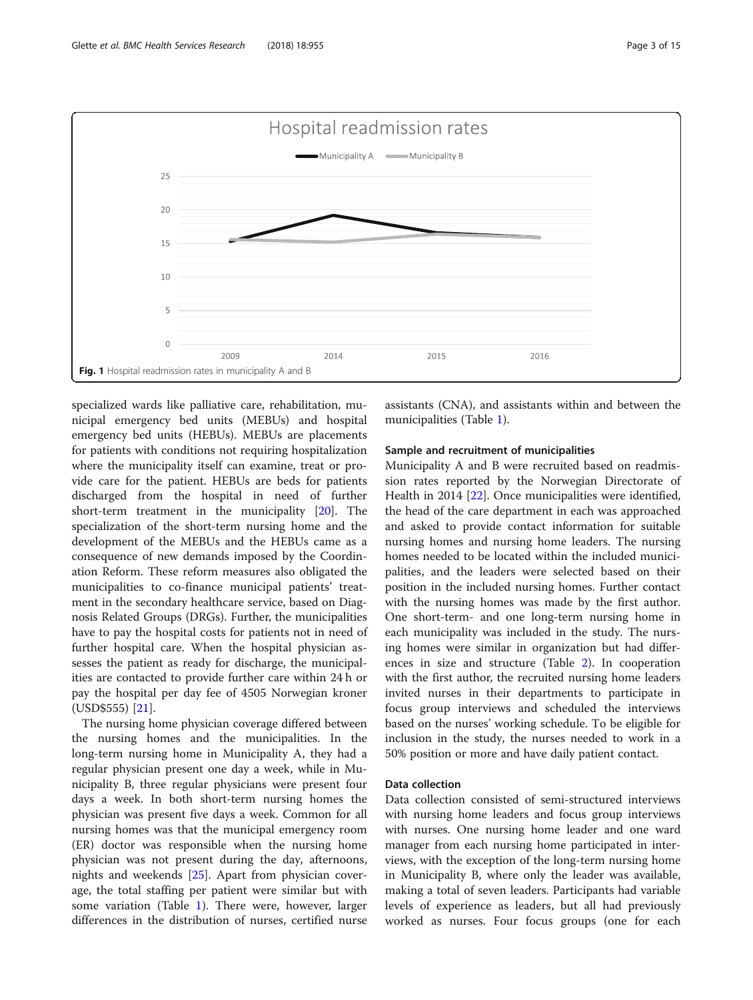<span id="page-2-0"></span>

specialized wards like palliative care, rehabilitation, municipal emergency bed units (MEBUs) and hospital emergency bed units (HEBUs). MEBUs are placements for patients with conditions not requiring hospitalization where the municipality itself can examine, treat or provide care for the patient. HEBUs are beds for patients discharged from the hospital in need of further short-term treatment in the municipality [[20\]](#page-14-0). The specialization of the short-term nursing home and the development of the MEBUs and the HEBUs came as a consequence of new demands imposed by the Coordination Reform. These reform measures also obligated the municipalities to co-finance municipal patients' treatment in the secondary healthcare service, based on Diagnosis Related Groups (DRGs). Further, the municipalities have to pay the hospital costs for patients not in need of further hospital care. When the hospital physician assesses the patient as ready for discharge, the municipalities are contacted to provide further care within 24 h or pay the hospital per day fee of 4505 Norwegian kroner (USD\$555) [\[21\]](#page-14-0).

The nursing home physician coverage differed between the nursing homes and the municipalities. In the long-term nursing home in Municipality A, they had a regular physician present one day a week, while in Municipality B, three regular physicians were present four days a week. In both short-term nursing homes the physician was present five days a week. Common for all nursing homes was that the municipal emergency room (ER) doctor was responsible when the nursing home physician was not present during the day, afternoons, nights and weekends [[25\]](#page-14-0). Apart from physician coverage, the total staffing per patient were similar but with some variation (Table [1\)](#page-4-0). There were, however, larger differences in the distribution of nurses, certified nurse assistants (CNA), and assistants within and between the municipalities (Table [1\)](#page-4-0).

# Sample and recruitment of municipalities

Municipality A and B were recruited based on readmission rates reported by the Norwegian Directorate of Health in 2014 [\[22](#page-14-0)]. Once municipalities were identified, the head of the care department in each was approached and asked to provide contact information for suitable nursing homes and nursing home leaders. The nursing homes needed to be located within the included municipalities, and the leaders were selected based on their position in the included nursing homes. Further contact with the nursing homes was made by the first author. One short-term- and one long-term nursing home in each municipality was included in the study. The nursing homes were similar in organization but had differences in size and structure (Table [2](#page-4-0)). In cooperation with the first author, the recruited nursing home leaders invited nurses in their departments to participate in focus group interviews and scheduled the interviews based on the nurses' working schedule. To be eligible for inclusion in the study, the nurses needed to work in a 50% position or more and have daily patient contact.

# Data collection

Data collection consisted of semi-structured interviews with nursing home leaders and focus group interviews with nurses. One nursing home leader and one ward manager from each nursing home participated in interviews, with the exception of the long-term nursing home in Municipality B, where only the leader was available, making a total of seven leaders. Participants had variable levels of experience as leaders, but all had previously worked as nurses. Four focus groups (one for each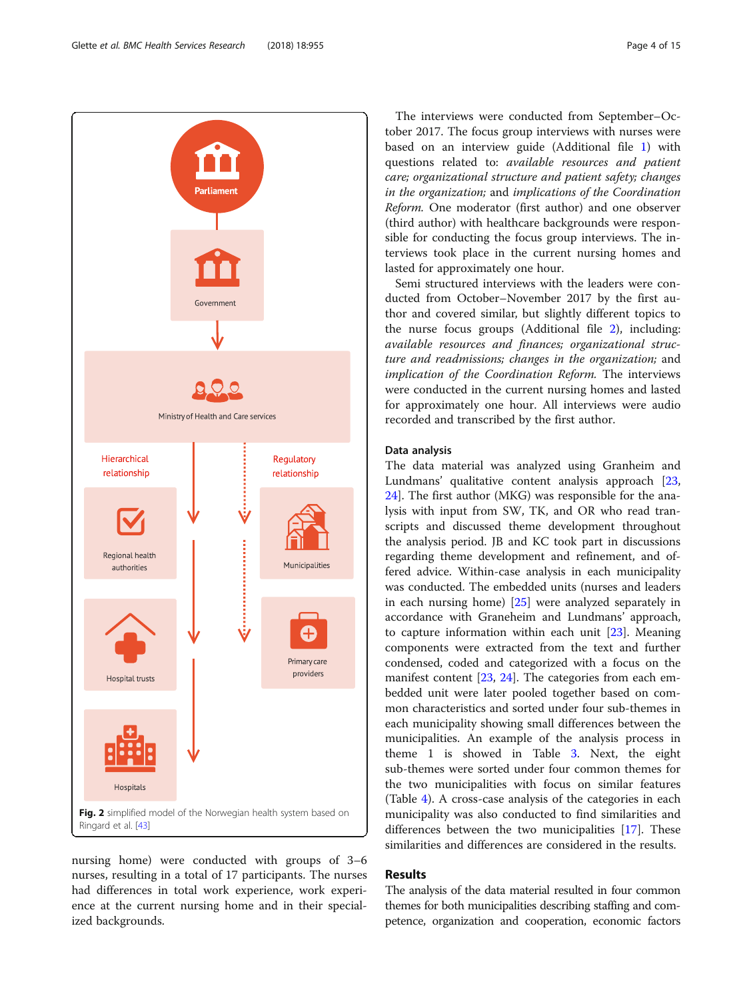<span id="page-3-0"></span>

nursing home) were conducted with groups of 3–6 nurses, resulting in a total of 17 participants. The nurses had differences in total work experience, work experience at the current nursing home and in their specialized backgrounds.

The interviews were conducted from September–October 2017. The focus group interviews with nurses were based on an interview guide (Additional file [1\)](#page-13-0) with questions related to: available resources and patient care; organizational structure and patient safety; changes in the organization; and implications of the Coordination Reform. One moderator (first author) and one observer (third author) with healthcare backgrounds were responsible for conducting the focus group interviews. The interviews took place in the current nursing homes and lasted for approximately one hour.

Semi structured interviews with the leaders were conducted from October–November 2017 by the first author and covered similar, but slightly different topics to the nurse focus groups (Additional file [2](#page-13-0)), including: available resources and finances; organizational structure and readmissions; changes in the organization; and implication of the Coordination Reform. The interviews were conducted in the current nursing homes and lasted for approximately one hour. All interviews were audio recorded and transcribed by the first author.

# Data analysis

The data material was analyzed using Granheim and Lundmans' qualitative content analysis approach [[23](#page-14-0), [24\]](#page-14-0). The first author (MKG) was responsible for the analysis with input from SW, TK, and OR who read transcripts and discussed theme development throughout the analysis period. JB and KC took part in discussions regarding theme development and refinement, and offered advice. Within-case analysis in each municipality was conducted. The embedded units (nurses and leaders in each nursing home) [\[25\]](#page-14-0) were analyzed separately in accordance with Graneheim and Lundmans' approach, to capture information within each unit  $[23]$  $[23]$ . Meaning components were extracted from the text and further condensed, coded and categorized with a focus on the manifest content [\[23](#page-14-0), [24](#page-14-0)]. The categories from each embedded unit were later pooled together based on common characteristics and sorted under four sub-themes in each municipality showing small differences between the municipalities. An example of the analysis process in theme 1 is showed in Table [3.](#page-5-0) Next, the eight sub-themes were sorted under four common themes for the two municipalities with focus on similar features (Table [4](#page-7-0)). A cross-case analysis of the categories in each municipality was also conducted to find similarities and differences between the two municipalities [\[17](#page-14-0)]. These similarities and differences are considered in the results.

# Results

The analysis of the data material resulted in four common themes for both municipalities describing staffing and competence, organization and cooperation, economic factors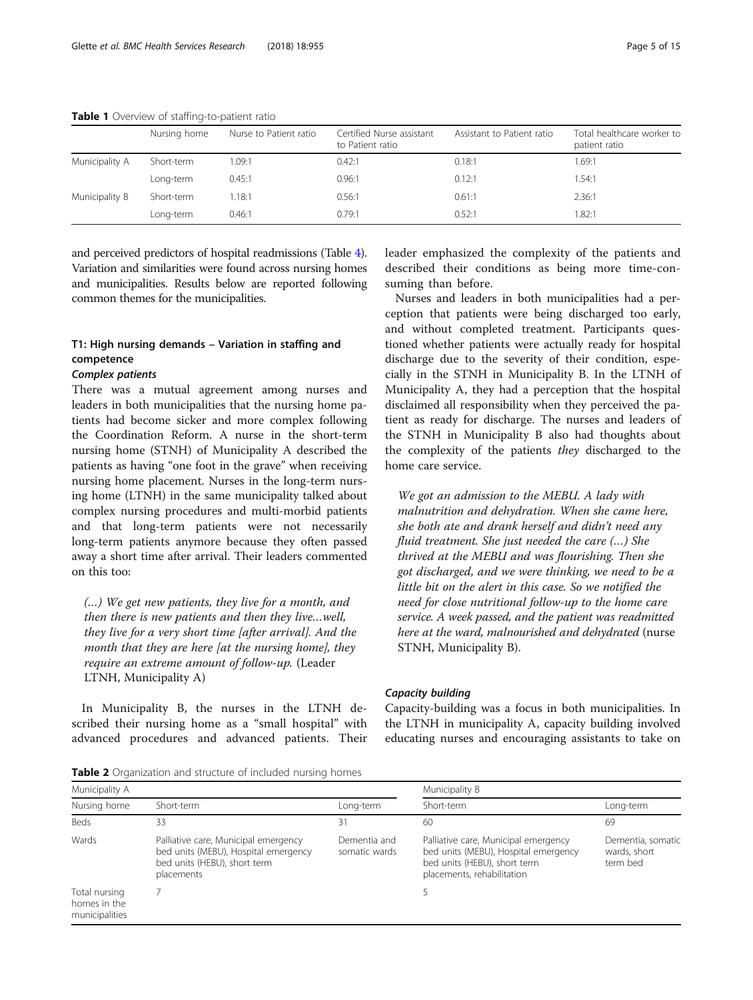|                | Nursing home | Nurse to Patient ratio | Certified Nurse assistant<br>to Patient ratio | Assistant to Patient ratio | Total healthcare worker to<br>patient ratio |
|----------------|--------------|------------------------|-----------------------------------------------|----------------------------|---------------------------------------------|
| Municipality A | Short-term   | 1.09:1                 | 0.42:1                                        | 0.18:1                     | 1.69:1                                      |
|                | Long-term    | 0.45:1                 | 0.96:1                                        | 0.12:1                     | 1.54:1                                      |
| Municipality B | Short-term   | 1.18:1                 | 0.56:1                                        | 0.61:1                     | 2.36:1                                      |
|                | Long-term    | 0.46:1                 | 0.79:1                                        | 0.52:1                     | 1.82:1                                      |

<span id="page-4-0"></span>Table 1 Overview of staffing-to-patient ratio

and perceived predictors of hospital readmissions (Table [4](#page-7-0)). Variation and similarities were found across nursing homes and municipalities. Results below are reported following common themes for the municipalities.

# T1: High nursing demands – Variation in staffing and competence

### Complex patients

There was a mutual agreement among nurses and leaders in both municipalities that the nursing home patients had become sicker and more complex following the Coordination Reform. A nurse in the short-term nursing home (STNH) of Municipality A described the patients as having "one foot in the grave" when receiving nursing home placement. Nurses in the long-term nursing home (LTNH) in the same municipality talked about complex nursing procedures and multi-morbid patients and that long-term patients were not necessarily long-term patients anymore because they often passed away a short time after arrival. Their leaders commented on this too:

(…) We get new patients, they live for a month, and then there is new patients and then they live…well, they live for a very short time [after arrival]. And the month that they are here [at the nursing home], they require an extreme amount of follow-up. (Leader LTNH, Municipality A)

In Municipality B, the nurses in the LTNH described their nursing home as a "small hospital" with advanced procedures and advanced patients. Their leader emphasized the complexity of the patients and described their conditions as being more time-consuming than before.

Nurses and leaders in both municipalities had a perception that patients were being discharged too early, and without completed treatment. Participants questioned whether patients were actually ready for hospital discharge due to the severity of their condition, especially in the STNH in Municipality B. In the LTNH of Municipality A, they had a perception that the hospital disclaimed all responsibility when they perceived the patient as ready for discharge. The nurses and leaders of the STNH in Municipality B also had thoughts about the complexity of the patients they discharged to the home care service.

We got an admission to the MEBU. A lady with malnutrition and dehydration. When she came here, she both ate and drank herself and didn't need any fluid treatment. She just needed the care (…) She thrived at the MEBU and was flourishing. Then she got discharged, and we were thinking, we need to be a little bit on the alert in this case. So we notified the need for close nutritional follow-up to the home care service. A week passed, and the patient was readmitted here at the ward, malnourished and dehydrated (nurse STNH, Municipality B).

# Capacity building

Capacity-building was a focus in both municipalities. In the LTNH in municipality A, capacity building involved educating nurses and encouraging assistants to take on

Table 2 Organization and structure of included nursing homes

| Municipality A                                  |                                                                                                                            |                               | Municipality B                                                                                                                             |                                               |
|-------------------------------------------------|----------------------------------------------------------------------------------------------------------------------------|-------------------------------|--------------------------------------------------------------------------------------------------------------------------------------------|-----------------------------------------------|
| Nursing home                                    | Short-term                                                                                                                 | Long-term                     | Short-term                                                                                                                                 | Long-term                                     |
| Beds                                            | 33                                                                                                                         | 31                            | 60                                                                                                                                         | 69                                            |
| Wards                                           | Palliative care, Municipal emergency<br>bed units (MEBU), Hospital emergency<br>bed units (HEBU), short term<br>placements | Dementia and<br>somatic wards | Palliative care, Municipal emergency<br>bed units (MEBU), Hospital emergency<br>bed units (HEBU), short term<br>placements, rehabilitation | Dementia, somatio<br>wards, short<br>term bed |
| Total nursing<br>homes in the<br>municipalities |                                                                                                                            |                               |                                                                                                                                            |                                               |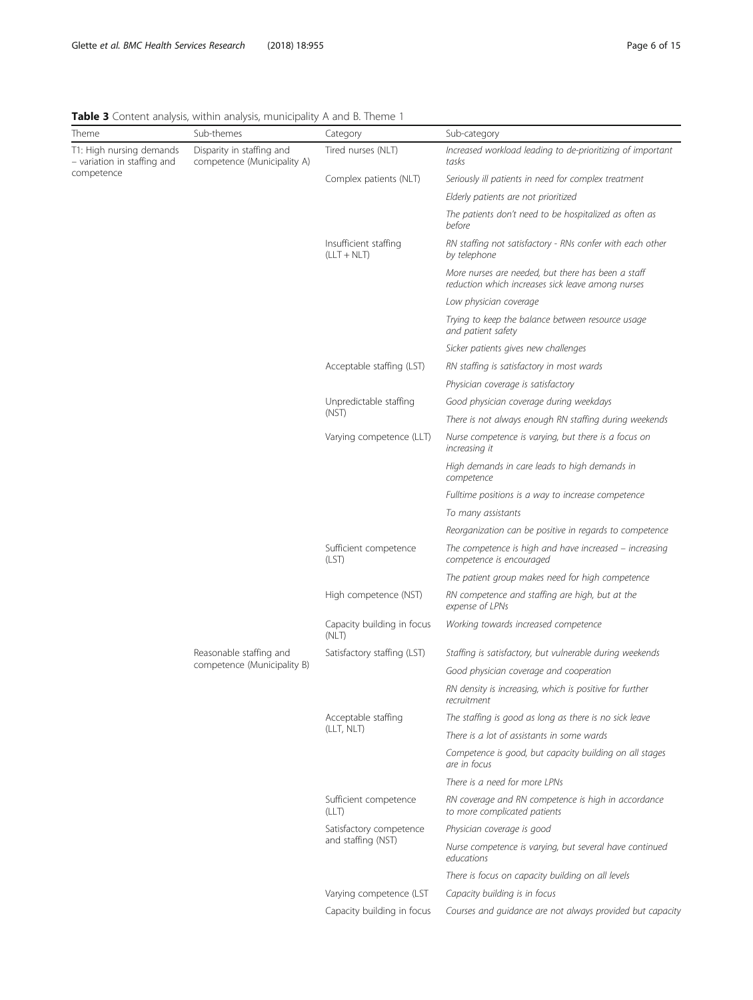| Theme                                                   | Sub-themes                                               | Category                               | Sub-category                                                                                            |
|---------------------------------------------------------|----------------------------------------------------------|----------------------------------------|---------------------------------------------------------------------------------------------------------|
| T1: High nursing demands<br>- variation in staffing and | Disparity in staffing and<br>competence (Municipality A) | Tired nurses (NLT)                     | Increased workload leading to de-prioritizing of important<br>tasks                                     |
| competence                                              |                                                          | Complex patients (NLT)                 | Seriously ill patients in need for complex treatment                                                    |
|                                                         |                                                          |                                        | Elderly patients are not prioritized                                                                    |
|                                                         |                                                          |                                        | The patients don't need to be hospitalized as often as<br>before                                        |
|                                                         |                                                          | Insufficient staffing<br>$(LLT + NLT)$ | RN staffing not satisfactory - RNs confer with each other<br>by telephone                               |
|                                                         |                                                          |                                        | More nurses are needed, but there has been a staff<br>reduction which increases sick leave among nurses |
|                                                         |                                                          |                                        | Low physician coverage                                                                                  |
|                                                         |                                                          |                                        | Trying to keep the balance between resource usage<br>and patient safety                                 |
|                                                         |                                                          |                                        | Sicker patients gives new challenges                                                                    |
|                                                         |                                                          | Acceptable staffing (LST)              | RN staffing is satisfactory in most wards                                                               |
|                                                         |                                                          |                                        | Physician coverage is satisfactory                                                                      |
|                                                         |                                                          | Unpredictable staffing                 | Good physician coverage during weekdays                                                                 |
|                                                         |                                                          | (NST)                                  | There is not always enough RN staffing during weekends                                                  |
|                                                         |                                                          | Varying competence (LLT)               | Nurse competence is varying, but there is a focus on<br>increasing it                                   |
|                                                         |                                                          |                                        | High demands in care leads to high demands in<br>competence                                             |
|                                                         |                                                          |                                        | Fulltime positions is a way to increase competence                                                      |
|                                                         |                                                          |                                        | To many assistants                                                                                      |
|                                                         |                                                          |                                        | Reorganization can be positive in regards to competence                                                 |
|                                                         |                                                          | Sufficient competence<br>(LST)         | The competence is high and have increased - increasing<br>competence is encouraged                      |
|                                                         |                                                          |                                        | The patient group makes need for high competence                                                        |
|                                                         |                                                          | High competence (NST)                  | RN competence and staffing are high, but at the<br>expense of LPNs                                      |
|                                                         |                                                          | Capacity building in focus<br>(NLT)    | Working towards increased competence                                                                    |
|                                                         | Reasonable staffing and                                  | Satisfactory staffing (LST)            | Staffing is satisfactory, but vulnerable during weekends                                                |
|                                                         | competence (Municipality B)                              |                                        | Good physician coverage and cooperation                                                                 |
|                                                         |                                                          |                                        | RN density is increasing, which is positive for further<br>recruitment                                  |
|                                                         |                                                          | Acceptable staffing                    | The staffing is good as long as there is no sick leave                                                  |
|                                                         |                                                          | (LLT, NLT)                             | There is a lot of assistants in some wards                                                              |
|                                                         |                                                          |                                        | Competence is good, but capacity building on all stages<br>are in focus                                 |
|                                                         |                                                          |                                        | There is a need for more LPNs                                                                           |
|                                                         |                                                          | Sufficient competence<br>(LLT)         | RN coverage and RN competence is high in accordance<br>to more complicated patients                     |
|                                                         |                                                          | Satisfactory competence                | Physician coverage is good                                                                              |
|                                                         |                                                          | and staffing (NST)                     | Nurse competence is varying, but several have continued<br>educations                                   |
|                                                         |                                                          |                                        | There is focus on capacity building on all levels                                                       |
|                                                         |                                                          | Varying competence (LST                | Capacity building is in focus                                                                           |
|                                                         |                                                          | Capacity building in focus             | Courses and guidance are not always provided but capacity                                               |

<span id="page-5-0"></span>Table 3 Content analysis, within analysis, municipality A and B. Theme 1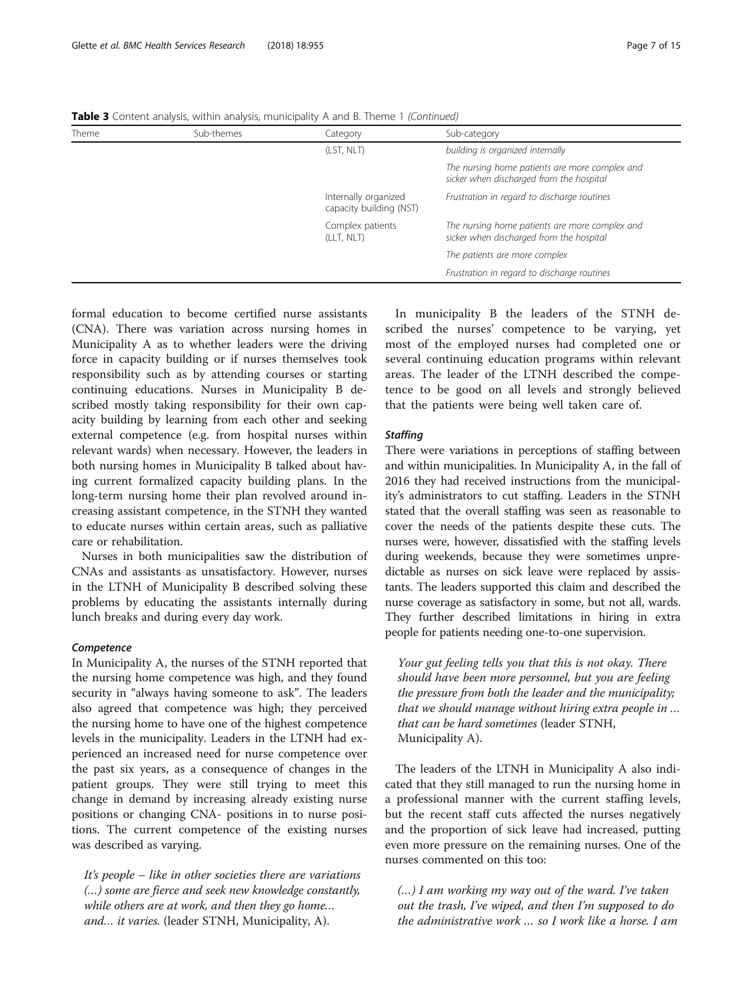**Table 3** Content analysis, within analysis, municipality A and B. Theme 1 (Continued)

| <b>Theme</b> | Sub-themes | Category                                        | Sub-category                                                                               |
|--------------|------------|-------------------------------------------------|--------------------------------------------------------------------------------------------|
|              |            | (LST, NLT)                                      | building is organized internally                                                           |
|              |            |                                                 | The nursing home patients are more complex and<br>sicker when discharged from the hospital |
|              |            | Internally organized<br>capacity building (NST) | Frustration in regard to discharge routines                                                |
|              |            | Complex patients<br>(LLT, NLT)                  | The nursing home patients are more complex and<br>sicker when discharged from the hospital |
|              |            |                                                 | The patients are more complex                                                              |
|              |            |                                                 | Frustration in regard to discharge routines                                                |

formal education to become certified nurse assistants (CNA). There was variation across nursing homes in Municipality A as to whether leaders were the driving force in capacity building or if nurses themselves took responsibility such as by attending courses or starting continuing educations. Nurses in Municipality B described mostly taking responsibility for their own capacity building by learning from each other and seeking external competence (e.g. from hospital nurses within relevant wards) when necessary. However, the leaders in both nursing homes in Municipality B talked about having current formalized capacity building plans. In the long-term nursing home their plan revolved around increasing assistant competence, in the STNH they wanted to educate nurses within certain areas, such as palliative care or rehabilitation.

Nurses in both municipalities saw the distribution of CNAs and assistants as unsatisfactory. However, nurses in the LTNH of Municipality B described solving these problems by educating the assistants internally during lunch breaks and during every day work.

# **Competence**

In Municipality A, the nurses of the STNH reported that the nursing home competence was high, and they found security in "always having someone to ask". The leaders also agreed that competence was high; they perceived the nursing home to have one of the highest competence levels in the municipality. Leaders in the LTNH had experienced an increased need for nurse competence over the past six years, as a consequence of changes in the patient groups. They were still trying to meet this change in demand by increasing already existing nurse positions or changing CNA- positions in to nurse positions. The current competence of the existing nurses was described as varying.

It's people – like in other societies there are variations (…) some are fierce and seek new knowledge constantly, while others are at work, and then they go home... and... it varies. (leader STNH, Municipality, A).

In municipality B the leaders of the STNH described the nurses' competence to be varying, yet most of the employed nurses had completed one or several continuing education programs within relevant areas. The leader of the LTNH described the competence to be good on all levels and strongly believed that the patients were being well taken care of.

# **Staffing**

There were variations in perceptions of staffing between and within municipalities. In Municipality A, in the fall of 2016 they had received instructions from the municipality's administrators to cut staffing. Leaders in the STNH stated that the overall staffing was seen as reasonable to cover the needs of the patients despite these cuts. The nurses were, however, dissatisfied with the staffing levels during weekends, because they were sometimes unpredictable as nurses on sick leave were replaced by assistants. The leaders supported this claim and described the nurse coverage as satisfactory in some, but not all, wards. They further described limitations in hiring in extra people for patients needing one-to-one supervision.

Your gut feeling tells you that this is not okay. There should have been more personnel, but you are feeling the pressure from both the leader and the municipality; that we should manage without hiring extra people in … that can be hard sometimes (leader STNH, Municipality A).

The leaders of the LTNH in Municipality A also indicated that they still managed to run the nursing home in a professional manner with the current staffing levels, but the recent staff cuts affected the nurses negatively and the proportion of sick leave had increased, putting even more pressure on the remaining nurses. One of the nurses commented on this too:

(…) I am working my way out of the ward. I've taken out the trash, I've wiped, and then I'm supposed to do the administrative work … so I work like a horse. I am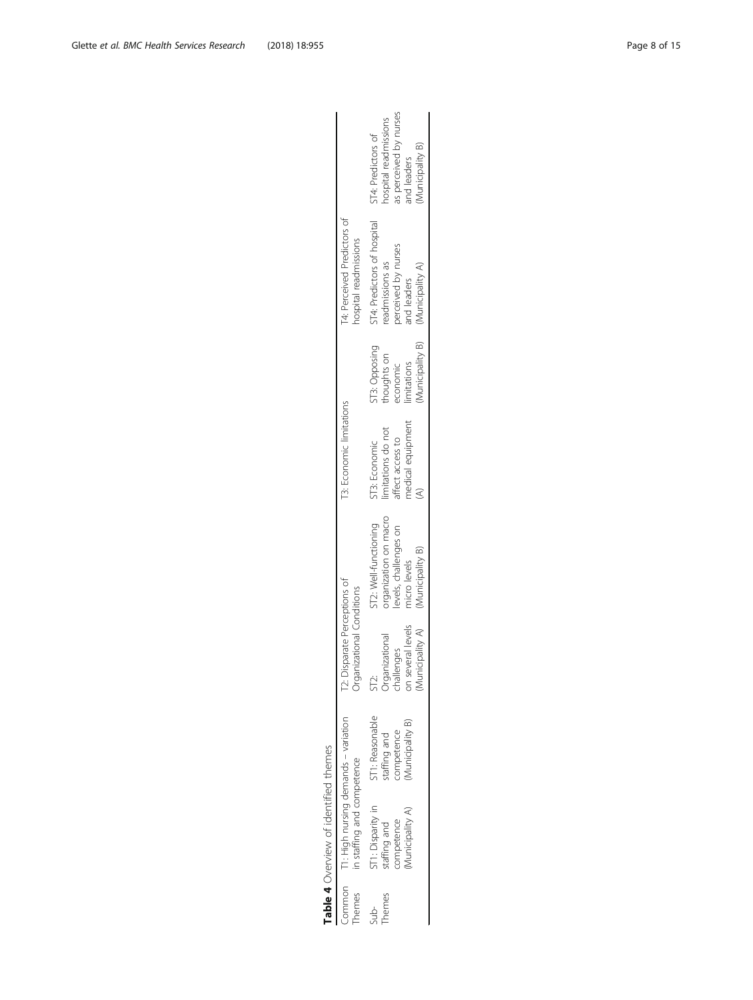| <b>Ballion Contains on the</b><br>j<br>l<br>)<br>J<br>ていこうりょう こうこうこ<br>J |  |
|--------------------------------------------------------------------------|--|
| ï<br>j<br>$\overline{ }$<br>ĺ                                            |  |
| J<br>ŀ                                                                   |  |

<span id="page-7-0"></span>

| Common<br>hemes | in staffing and competence                                        | T1: High nursing demands - variation                             | <b>12: Disparate Perceptions of</b><br>Organizational Conditions |                                                                                         | 3: Economic limitations                                                      |                                                      | 4: Perceived Predictors of<br>iospital readmissions                                 |                                                                                    |
|-----------------|-------------------------------------------------------------------|------------------------------------------------------------------|------------------------------------------------------------------|-----------------------------------------------------------------------------------------|------------------------------------------------------------------------------|------------------------------------------------------|-------------------------------------------------------------------------------------|------------------------------------------------------------------------------------|
| hemes<br>Sub-   | ST1: Disparity in<br>Municipality A)<br>competence<br>taffing and | ST1: Reasonable<br>Municipality B)<br>iompetence<br>staffing and | on several levels<br>ST2:<br>Organizational<br>challenges        | prganization on macro<br>ST2: Well-functioning<br>levels, challenges on<br>micro levels | inedical equipment<br>imitations do not<br>affect access to<br>ST3: Economic | 5T3: Opposing<br>houghts on<br>imitations<br>conomic | 5T4: Predictors of hospital<br>berceived by nurses<br>eadmissions as<br>and leaders | s perceived by nurses<br>ospital readmissions<br>ST4: Predictors of<br>and leaders |
|                 |                                                                   |                                                                  | (Municipality A)                                                 | (Municipality B)                                                                        |                                                                              | Aunicipality B)                                      | (Municipality A)                                                                    | Aunicipality B)                                                                    |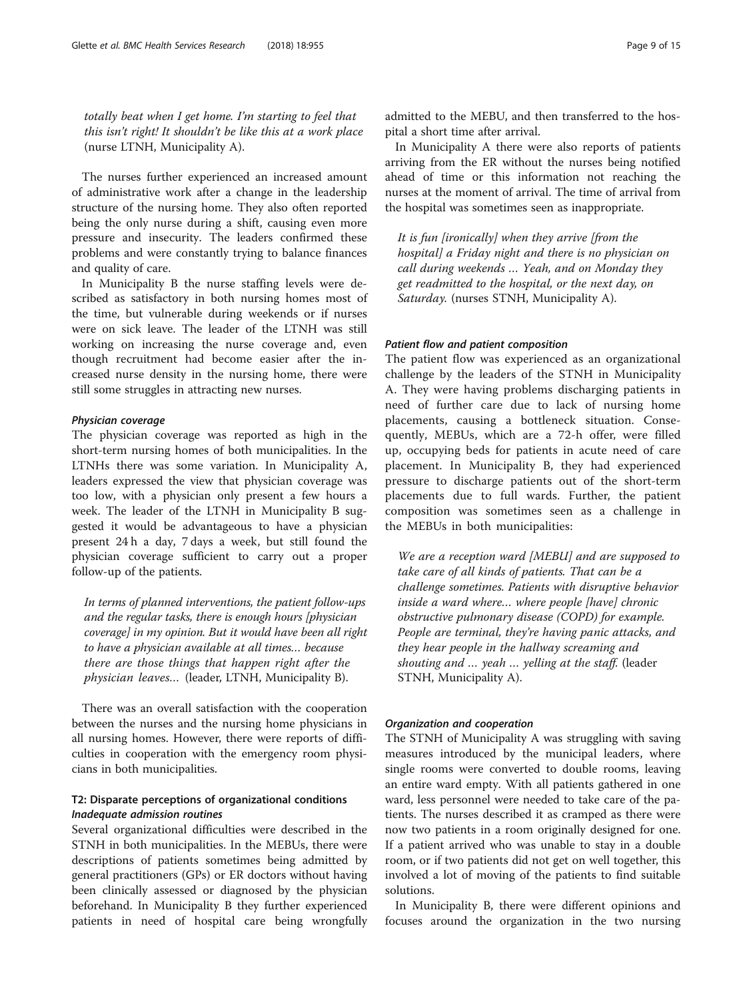totally beat when I get home. I'm starting to feel that this isn't right! It shouldn't be like this at a work place (nurse LTNH, Municipality A).

The nurses further experienced an increased amount of administrative work after a change in the leadership structure of the nursing home. They also often reported being the only nurse during a shift, causing even more pressure and insecurity. The leaders confirmed these problems and were constantly trying to balance finances and quality of care.

In Municipality B the nurse staffing levels were described as satisfactory in both nursing homes most of the time, but vulnerable during weekends or if nurses were on sick leave. The leader of the LTNH was still working on increasing the nurse coverage and, even though recruitment had become easier after the increased nurse density in the nursing home, there were still some struggles in attracting new nurses.

# Physician coverage

The physician coverage was reported as high in the short-term nursing homes of both municipalities. In the LTNHs there was some variation. In Municipality A, leaders expressed the view that physician coverage was too low, with a physician only present a few hours a week. The leader of the LTNH in Municipality B suggested it would be advantageous to have a physician present 24 h a day, 7 days a week, but still found the physician coverage sufficient to carry out a proper follow-up of the patients.

In terms of planned interventions, the patient follow-ups and the regular tasks, there is enough hours [physician coverage] in my opinion. But it would have been all right to have a physician available at all times… because there are those things that happen right after the physician leaves… (leader, LTNH, Municipality B).

There was an overall satisfaction with the cooperation between the nurses and the nursing home physicians in all nursing homes. However, there were reports of difficulties in cooperation with the emergency room physicians in both municipalities.

# T2: Disparate perceptions of organizational conditions Inadequate admission routines

Several organizational difficulties were described in the STNH in both municipalities. In the MEBUs, there were descriptions of patients sometimes being admitted by general practitioners (GPs) or ER doctors without having been clinically assessed or diagnosed by the physician beforehand. In Municipality B they further experienced patients in need of hospital care being wrongfully

admitted to the MEBU, and then transferred to the hospital a short time after arrival.

In Municipality A there were also reports of patients arriving from the ER without the nurses being notified ahead of time or this information not reaching the nurses at the moment of arrival. The time of arrival from the hospital was sometimes seen as inappropriate.

It is fun [ironically] when they arrive [from the hospital] a Friday night and there is no physician on call during weekends … Yeah, and on Monday they get readmitted to the hospital, or the next day, on Saturday. (nurses STNH, Municipality A).

# Patient flow and patient composition

The patient flow was experienced as an organizational challenge by the leaders of the STNH in Municipality A. They were having problems discharging patients in need of further care due to lack of nursing home placements, causing a bottleneck situation. Consequently, MEBUs, which are a 72-h offer, were filled up, occupying beds for patients in acute need of care placement. In Municipality B, they had experienced pressure to discharge patients out of the short-term placements due to full wards. Further, the patient composition was sometimes seen as a challenge in the MEBUs in both municipalities:

We are a reception ward [MEBU] and are supposed to take care of all kinds of patients. That can be a challenge sometimes. Patients with disruptive behavior inside a ward where… where people [have] chronic obstructive pulmonary disease (COPD) for example. People are terminal, they're having panic attacks, and they hear people in the hallway screaming and shouting and … yeah … yelling at the staff. (leader STNH, Municipality A).

# Organization and cooperation

The STNH of Municipality A was struggling with saving measures introduced by the municipal leaders, where single rooms were converted to double rooms, leaving an entire ward empty. With all patients gathered in one ward, less personnel were needed to take care of the patients. The nurses described it as cramped as there were now two patients in a room originally designed for one. If a patient arrived who was unable to stay in a double room, or if two patients did not get on well together, this involved a lot of moving of the patients to find suitable solutions.

In Municipality B, there were different opinions and focuses around the organization in the two nursing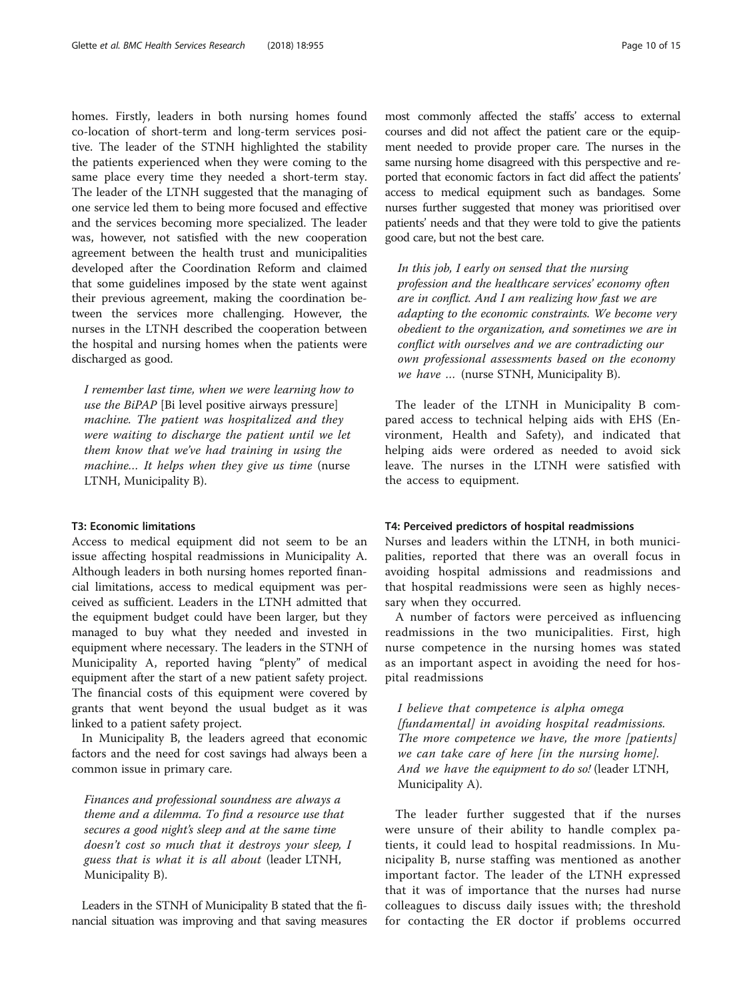homes. Firstly, leaders in both nursing homes found co-location of short-term and long-term services positive. The leader of the STNH highlighted the stability the patients experienced when they were coming to the same place every time they needed a short-term stay. The leader of the LTNH suggested that the managing of one service led them to being more focused and effective and the services becoming more specialized. The leader was, however, not satisfied with the new cooperation agreement between the health trust and municipalities developed after the Coordination Reform and claimed that some guidelines imposed by the state went against their previous agreement, making the coordination between the services more challenging. However, the nurses in the LTNH described the cooperation between the hospital and nursing homes when the patients were discharged as good.

I remember last time, when we were learning how to use the BiPAP [Bi level positive airways pressure] machine. The patient was hospitalized and they were waiting to discharge the patient until we let them know that we've had training in using the machine… It helps when they give us time (nurse LTNH, Municipality B).

#### T3: Economic limitations

Access to medical equipment did not seem to be an issue affecting hospital readmissions in Municipality A. Although leaders in both nursing homes reported financial limitations, access to medical equipment was perceived as sufficient. Leaders in the LTNH admitted that the equipment budget could have been larger, but they managed to buy what they needed and invested in equipment where necessary. The leaders in the STNH of Municipality A, reported having "plenty" of medical equipment after the start of a new patient safety project. The financial costs of this equipment were covered by grants that went beyond the usual budget as it was linked to a patient safety project.

In Municipality B, the leaders agreed that economic factors and the need for cost savings had always been a common issue in primary care.

Finances and professional soundness are always a theme and a dilemma. To find a resource use that secures a good night's sleep and at the same time doesn't cost so much that it destroys your sleep, I guess that is what it is all about (leader LTNH, Municipality B).

Leaders in the STNH of Municipality B stated that the financial situation was improving and that saving measures most commonly affected the staffs' access to external courses and did not affect the patient care or the equipment needed to provide proper care. The nurses in the same nursing home disagreed with this perspective and reported that economic factors in fact did affect the patients' access to medical equipment such as bandages. Some nurses further suggested that money was prioritised over patients' needs and that they were told to give the patients good care, but not the best care.

In this job, I early on sensed that the nursing profession and the healthcare services' economy often are in conflict. And I am realizing how fast we are adapting to the economic constraints. We become very obedient to the organization, and sometimes we are in conflict with ourselves and we are contradicting our own professional assessments based on the economy we have ... (nurse STNH, Municipality B).

The leader of the LTNH in Municipality B compared access to technical helping aids with EHS (Environment, Health and Safety), and indicated that helping aids were ordered as needed to avoid sick leave. The nurses in the LTNH were satisfied with the access to equipment.

# T4: Perceived predictors of hospital readmissions

Nurses and leaders within the LTNH, in both municipalities, reported that there was an overall focus in avoiding hospital admissions and readmissions and that hospital readmissions were seen as highly necessary when they occurred.

A number of factors were perceived as influencing readmissions in the two municipalities. First, high nurse competence in the nursing homes was stated as an important aspect in avoiding the need for hospital readmissions

I believe that competence is alpha omega [fundamental] in avoiding hospital readmissions. The more competence we have, the more [patients] we can take care of here [in the nursing home]. And we have the equipment to do so! (leader LTNH, Municipality A).

The leader further suggested that if the nurses were unsure of their ability to handle complex patients, it could lead to hospital readmissions. In Municipality B, nurse staffing was mentioned as another important factor. The leader of the LTNH expressed that it was of importance that the nurses had nurse colleagues to discuss daily issues with; the threshold for contacting the ER doctor if problems occurred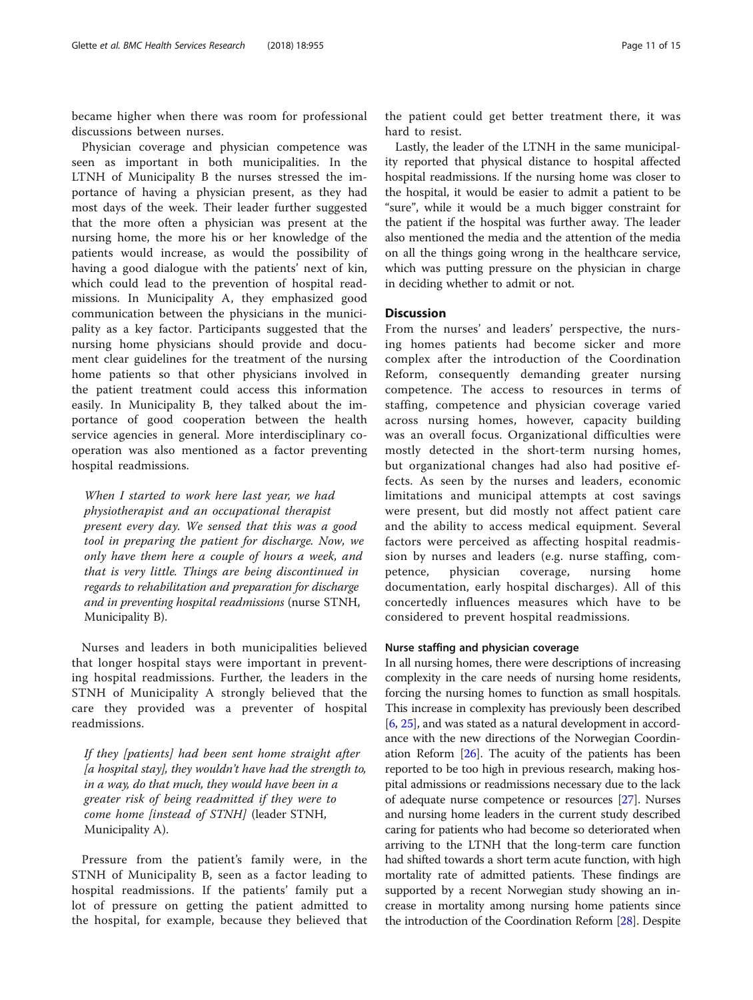became higher when there was room for professional discussions between nurses.

Physician coverage and physician competence was seen as important in both municipalities. In the LTNH of Municipality B the nurses stressed the importance of having a physician present, as they had most days of the week. Their leader further suggested that the more often a physician was present at the nursing home, the more his or her knowledge of the patients would increase, as would the possibility of having a good dialogue with the patients' next of kin, which could lead to the prevention of hospital readmissions. In Municipality A, they emphasized good communication between the physicians in the municipality as a key factor. Participants suggested that the nursing home physicians should provide and document clear guidelines for the treatment of the nursing home patients so that other physicians involved in the patient treatment could access this information easily. In Municipality B, they talked about the importance of good cooperation between the health service agencies in general. More interdisciplinary cooperation was also mentioned as a factor preventing hospital readmissions.

When I started to work here last year, we had physiotherapist and an occupational therapist present every day. We sensed that this was a good tool in preparing the patient for discharge. Now, we only have them here a couple of hours a week, and that is very little. Things are being discontinued in regards to rehabilitation and preparation for discharge and in preventing hospital readmissions (nurse STNH, Municipality B).

Nurses and leaders in both municipalities believed that longer hospital stays were important in preventing hospital readmissions. Further, the leaders in the STNH of Municipality A strongly believed that the care they provided was a preventer of hospital readmissions.

If they [patients] had been sent home straight after  $[a$  hospital stay], they wouldn't have had the strength to, in a way, do that much, they would have been in a greater risk of being readmitted if they were to come home [instead of STNH] (leader STNH, Municipality A).

Pressure from the patient's family were, in the STNH of Municipality B, seen as a factor leading to hospital readmissions. If the patients' family put a lot of pressure on getting the patient admitted to the hospital, for example, because they believed that

the patient could get better treatment there, it was hard to resist.

Lastly, the leader of the LTNH in the same municipality reported that physical distance to hospital affected hospital readmissions. If the nursing home was closer to the hospital, it would be easier to admit a patient to be "sure", while it would be a much bigger constraint for the patient if the hospital was further away. The leader also mentioned the media and the attention of the media on all the things going wrong in the healthcare service, which was putting pressure on the physician in charge in deciding whether to admit or not.

# **Discussion**

From the nurses' and leaders' perspective, the nursing homes patients had become sicker and more complex after the introduction of the Coordination Reform, consequently demanding greater nursing competence. The access to resources in terms of staffing, competence and physician coverage varied across nursing homes, however, capacity building was an overall focus. Organizational difficulties were mostly detected in the short-term nursing homes, but organizational changes had also had positive effects. As seen by the nurses and leaders, economic limitations and municipal attempts at cost savings were present, but did mostly not affect patient care and the ability to access medical equipment. Several factors were perceived as affecting hospital readmission by nurses and leaders (e.g. nurse staffing, competence, physician coverage, nursing home documentation, early hospital discharges). All of this concertedly influences measures which have to be considered to prevent hospital readmissions.

# Nurse staffing and physician coverage

In all nursing homes, there were descriptions of increasing complexity in the care needs of nursing home residents, forcing the nursing homes to function as small hospitals. This increase in complexity has previously been described [[6,](#page-13-0) [25\]](#page-14-0), and was stated as a natural development in accordance with the new directions of the Norwegian Coordination Reform [\[26\]](#page-14-0). The acuity of the patients has been reported to be too high in previous research, making hospital admissions or readmissions necessary due to the lack of adequate nurse competence or resources [[27\]](#page-14-0). Nurses and nursing home leaders in the current study described caring for patients who had become so deteriorated when arriving to the LTNH that the long-term care function had shifted towards a short term acute function, with high mortality rate of admitted patients. These findings are supported by a recent Norwegian study showing an increase in mortality among nursing home patients since the introduction of the Coordination Reform [[28](#page-14-0)]. Despite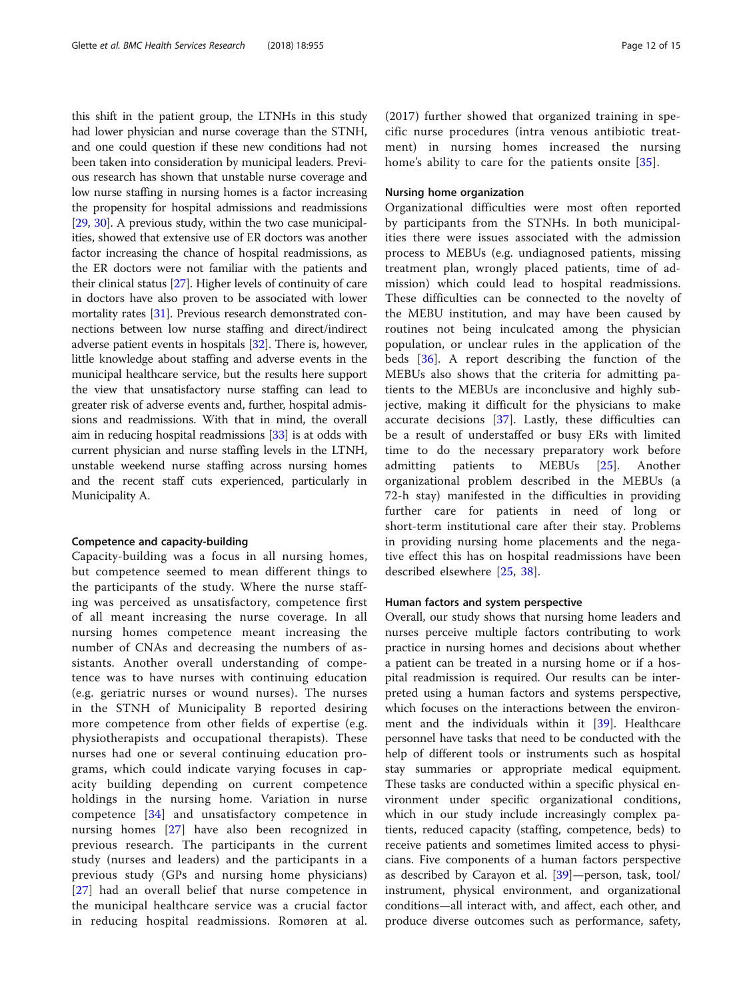this shift in the patient group, the LTNHs in this study had lower physician and nurse coverage than the STNH, and one could question if these new conditions had not been taken into consideration by municipal leaders. Previous research has shown that unstable nurse coverage and low nurse staffing in nursing homes is a factor increasing the propensity for hospital admissions and readmissions [[29](#page-14-0), [30](#page-14-0)]. A previous study, within the two case municipalities, showed that extensive use of ER doctors was another factor increasing the chance of hospital readmissions, as the ER doctors were not familiar with the patients and their clinical status [[27](#page-14-0)]. Higher levels of continuity of care in doctors have also proven to be associated with lower mortality rates [[31](#page-14-0)]. Previous research demonstrated connections between low nurse staffing and direct/indirect adverse patient events in hospitals [[32](#page-14-0)]. There is, however, little knowledge about staffing and adverse events in the municipal healthcare service, but the results here support the view that unsatisfactory nurse staffing can lead to greater risk of adverse events and, further, hospital admissions and readmissions. With that in mind, the overall aim in reducing hospital readmissions [[33](#page-14-0)] is at odds with current physician and nurse staffing levels in the LTNH, unstable weekend nurse staffing across nursing homes and the recent staff cuts experienced, particularly in Municipality A.

#### Competence and capacity-building

Capacity-building was a focus in all nursing homes, but competence seemed to mean different things to the participants of the study. Where the nurse staffing was perceived as unsatisfactory, competence first of all meant increasing the nurse coverage. In all nursing homes competence meant increasing the number of CNAs and decreasing the numbers of assistants. Another overall understanding of competence was to have nurses with continuing education (e.g. geriatric nurses or wound nurses). The nurses in the STNH of Municipality B reported desiring more competence from other fields of expertise (e.g. physiotherapists and occupational therapists). These nurses had one or several continuing education programs, which could indicate varying focuses in capacity building depending on current competence holdings in the nursing home. Variation in nurse competence [\[34\]](#page-14-0) and unsatisfactory competence in nursing homes [\[27\]](#page-14-0) have also been recognized in previous research. The participants in the current study (nurses and leaders) and the participants in a previous study (GPs and nursing home physicians) [[27](#page-14-0)] had an overall belief that nurse competence in the municipal healthcare service was a crucial factor in reducing hospital readmissions. Romøren at al.

(2017) further showed that organized training in specific nurse procedures (intra venous antibiotic treatment) in nursing homes increased the nursing home's ability to care for the patients onsite [[35](#page-14-0)].

# Nursing home organization

Organizational difficulties were most often reported by participants from the STNHs. In both municipalities there were issues associated with the admission process to MEBUs (e.g. undiagnosed patients, missing treatment plan, wrongly placed patients, time of admission) which could lead to hospital readmissions. These difficulties can be connected to the novelty of the MEBU institution, and may have been caused by routines not being inculcated among the physician population, or unclear rules in the application of the beds [\[36](#page-14-0)]. A report describing the function of the MEBUs also shows that the criteria for admitting patients to the MEBUs are inconclusive and highly subjective, making it difficult for the physicians to make accurate decisions [[37\]](#page-14-0). Lastly, these difficulties can be a result of understaffed or busy ERs with limited time to do the necessary preparatory work before admitting patients to MEBUs [[25](#page-14-0)]. Another organizational problem described in the MEBUs (a 72-h stay) manifested in the difficulties in providing further care for patients in need of long or short-term institutional care after their stay. Problems in providing nursing home placements and the negative effect this has on hospital readmissions have been described elsewhere [[25,](#page-14-0) [38](#page-14-0)].

#### Human factors and system perspective

Overall, our study shows that nursing home leaders and nurses perceive multiple factors contributing to work practice in nursing homes and decisions about whether a patient can be treated in a nursing home or if a hospital readmission is required. Our results can be interpreted using a human factors and systems perspective, which focuses on the interactions between the environment and the individuals within it [[39](#page-14-0)]. Healthcare personnel have tasks that need to be conducted with the help of different tools or instruments such as hospital stay summaries or appropriate medical equipment. These tasks are conducted within a specific physical environment under specific organizational conditions, which in our study include increasingly complex patients, reduced capacity (staffing, competence, beds) to receive patients and sometimes limited access to physicians. Five components of a human factors perspective as described by Carayon et al. [\[39\]](#page-14-0)—person, task, tool/ instrument, physical environment, and organizational conditions—all interact with, and affect, each other, and produce diverse outcomes such as performance, safety,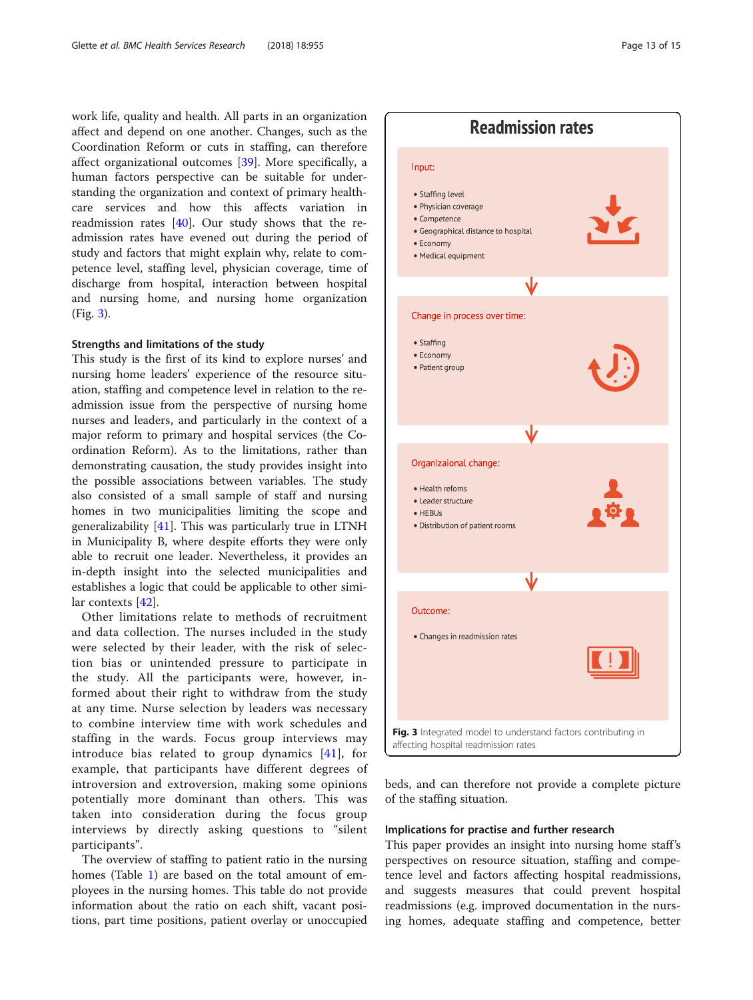<span id="page-12-0"></span>work life, quality and health. All parts in an organization affect and depend on one another. Changes, such as the Coordination Reform or cuts in staffing, can therefore affect organizational outcomes [[39\]](#page-14-0). More specifically, a human factors perspective can be suitable for understanding the organization and context of primary healthcare services and how this affects variation in readmission rates [\[40\]](#page-14-0). Our study shows that the readmission rates have evened out during the period of study and factors that might explain why, relate to competence level, staffing level, physician coverage, time of discharge from hospital, interaction between hospital and nursing home, and nursing home organization (Fig. 3).

# Strengths and limitations of the study

This study is the first of its kind to explore nurses' and nursing home leaders' experience of the resource situation, staffing and competence level in relation to the readmission issue from the perspective of nursing home nurses and leaders, and particularly in the context of a major reform to primary and hospital services (the Coordination Reform). As to the limitations, rather than demonstrating causation, the study provides insight into the possible associations between variables. The study also consisted of a small sample of staff and nursing homes in two municipalities limiting the scope and generalizability [[41](#page-14-0)]. This was particularly true in LTNH in Municipality B, where despite efforts they were only able to recruit one leader. Nevertheless, it provides an in-depth insight into the selected municipalities and establishes a logic that could be applicable to other similar contexts [[42\]](#page-14-0).

Other limitations relate to methods of recruitment and data collection. The nurses included in the study were selected by their leader, with the risk of selection bias or unintended pressure to participate in the study. All the participants were, however, informed about their right to withdraw from the study at any time. Nurse selection by leaders was necessary to combine interview time with work schedules and staffing in the wards. Focus group interviews may introduce bias related to group dynamics [[41\]](#page-14-0), for example, that participants have different degrees of introversion and extroversion, making some opinions potentially more dominant than others. This was taken into consideration during the focus group interviews by directly asking questions to "silent participants".

The overview of staffing to patient ratio in the nursing homes (Table [1\)](#page-4-0) are based on the total amount of employees in the nursing homes. This table do not provide information about the ratio on each shift, vacant positions, part time positions, patient overlay or unoccupied



beds, and can therefore not provide a complete picture of the staffing situation.

# Implications for practise and further research

This paper provides an insight into nursing home staff's perspectives on resource situation, staffing and competence level and factors affecting hospital readmissions, and suggests measures that could prevent hospital readmissions (e.g. improved documentation in the nursing homes, adequate staffing and competence, better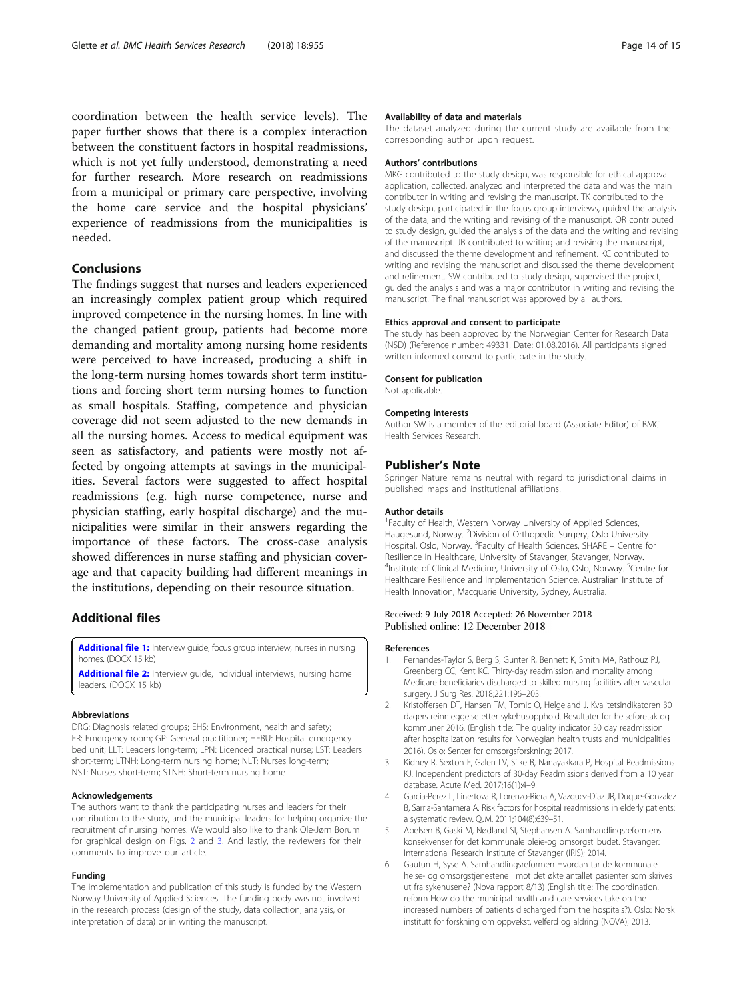<span id="page-13-0"></span>coordination between the health service levels). The paper further shows that there is a complex interaction between the constituent factors in hospital readmissions, which is not yet fully understood, demonstrating a need for further research. More research on readmissions from a municipal or primary care perspective, involving the home care service and the hospital physicians' experience of readmissions from the municipalities is needed.

# Conclusions

The findings suggest that nurses and leaders experienced an increasingly complex patient group which required improved competence in the nursing homes. In line with the changed patient group, patients had become more demanding and mortality among nursing home residents were perceived to have increased, producing a shift in the long-term nursing homes towards short term institutions and forcing short term nursing homes to function as small hospitals. Staffing, competence and physician coverage did not seem adjusted to the new demands in all the nursing homes. Access to medical equipment was seen as satisfactory, and patients were mostly not affected by ongoing attempts at savings in the municipalities. Several factors were suggested to affect hospital readmissions (e.g. high nurse competence, nurse and physician staffing, early hospital discharge) and the municipalities were similar in their answers regarding the importance of these factors. The cross-case analysis showed differences in nurse staffing and physician coverage and that capacity building had different meanings in the institutions, depending on their resource situation.

# Additional files

[Additional file 1:](https://doi.org/10.1186/s12913-018-3769-3) Interview quide, focus group interview, nurses in nursing homes. (DOCX 15 kb)

[Additional file 2:](https://doi.org/10.1186/s12913-018-3769-3) Interview quide, individual interviews, nursing home leaders. (DOCX 15 kb)

#### Abbreviations

DRG: Diagnosis related groups; EHS: Environment, health and safety; ER: Emergency room; GP: General practitioner; HEBU: Hospital emergency bed unit; LLT: Leaders long-term; LPN: Licenced practical nurse; LST: Leaders short-term; LTNH: Long-term nursing home; NLT: Nurses long-term; NST: Nurses short-term; STNH: Short-term nursing home

#### Acknowledgements

The authors want to thank the participating nurses and leaders for their contribution to the study, and the municipal leaders for helping organize the recruitment of nursing homes. We would also like to thank Ole-Jørn Borum for graphical design on Figs. [2](#page-3-0) and [3.](#page-12-0) And lastly, the reviewers for their comments to improve our article.

#### Funding

The implementation and publication of this study is funded by the Western Norway University of Applied Sciences. The funding body was not involved in the research process (design of the study, data collection, analysis, or interpretation of data) or in writing the manuscript.

# Availability of data and materials

The dataset analyzed during the current study are available from the corresponding author upon request.

#### Authors' contributions

MKG contributed to the study design, was responsible for ethical approval application, collected, analyzed and interpreted the data and was the main contributor in writing and revising the manuscript. TK contributed to the study design, participated in the focus group interviews, guided the analysis of the data, and the writing and revising of the manuscript. OR contributed to study design, guided the analysis of the data and the writing and revising of the manuscript. JB contributed to writing and revising the manuscript, and discussed the theme development and refinement. KC contributed to writing and revising the manuscript and discussed the theme development and refinement. SW contributed to study design, supervised the project, guided the analysis and was a major contributor in writing and revising the manuscript. The final manuscript was approved by all authors.

#### Ethics approval and consent to participate

The study has been approved by the Norwegian Center for Research Data (NSD) (Reference number: 49331, Date: 01.08.2016). All participants signed written informed consent to participate in the study.

#### Consent for publication

Not applicable.

#### Competing interests

Author SW is a member of the editorial board (Associate Editor) of BMC Health Services Research.

#### Publisher's Note

Springer Nature remains neutral with regard to jurisdictional claims in published maps and institutional affiliations.

#### Author details

<sup>1</sup> Faculty of Health, Western Norway University of Applied Sciences, Haugesund, Norway. <sup>2</sup> Division of Orthopedic Surgery, Oslo University Hospital, Oslo, Norway. <sup>3</sup>Faculty of Health Sciences, SHARE - Centre for Resilience in Healthcare, University of Stavanger, Stavanger, Norway. <sup>4</sup>Institute of Clinical Medicine, University of Oslo, Oslo, Norway. <sup>5</sup>Centre for Healthcare Resilience and Implementation Science, Australian Institute of Health Innovation, Macquarie University, Sydney, Australia.

# Received: 9 July 2018 Accepted: 26 November 2018 Published online: 12 December 2018

#### References

- 1. Fernandes-Taylor S, Berg S, Gunter R, Bennett K, Smith MA, Rathouz PJ, Greenberg CC, Kent KC. Thirty-day readmission and mortality among Medicare beneficiaries discharged to skilled nursing facilities after vascular surgery. J Surg Res. 2018;221:196–203.
- 2. Kristoffersen DT, Hansen TM, Tomic O, Helgeland J. Kvalitetsindikatoren 30 dagers reinnleggelse etter sykehusopphold. Resultater for helseforetak og kommuner 2016. (English title: The quality indicator 30 day readmission after hospitalization results for Norwegian health trusts and municipalities 2016). Oslo: Senter for omsorgsforskning; 2017.
- 3. Kidney R, Sexton E, Galen LV, Silke B, Nanayakkara P, Hospital Readmissions KJ. Independent predictors of 30-day Readmissions derived from a 10 year database. Acute Med. 2017;16(1):4–9.
- 4. Garcia-Perez L, Linertova R, Lorenzo-Riera A, Vazquez-Diaz JR, Duque-Gonzalez B, Sarria-Santamera A. Risk factors for hospital readmissions in elderly patients: a systematic review. QJM. 2011;104(8):639–51.
- 5. Abelsen B, Gaski M, Nødland SI, Stephansen A. Samhandlingsreformens konsekvenser for det kommunale pleie-og omsorgstilbudet. Stavanger: International Research Institute of Stavanger (IRIS); 2014.
- 6. Gautun H, Syse A. Samhandlingsreformen Hvordan tar de kommunale helse- og omsorgstjenestene i mot det økte antallet pasienter som skrives ut fra sykehusene? (Nova rapport 8/13) (English title: The coordination, reform How do the municipal health and care services take on the increased numbers of patients discharged from the hospitals?). Oslo: Norsk institutt for forskning om oppvekst, velferd og aldring (NOVA); 2013.